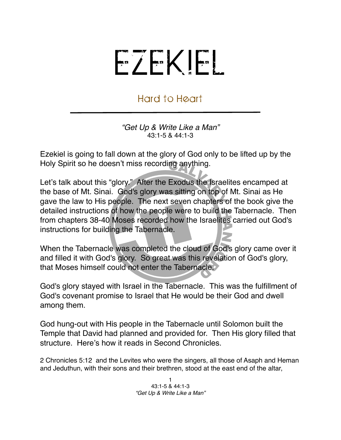## EZEKIEL

## Hard to Heart

*"Get Up & Write Like a Man"* 43:1-5 & 44:1-3

Ezekiel is going to fall down at the glory of God only to be lifted up by the Holy Spirit so he doesn't miss recording anything.

Let's talk about this "glory." After the Exodus the Israelites encamped at the base of Mt. Sinai. God's glory was sitting on top of Mt. Sinai as He gave the law to His people. The next seven chapters of the book give the detailed instructions of how the people were to build the Tabernacle. Then from chapters 38-40 Moses recorded how the Israelites carried out God's instructions for building the Tabernacle.

When the Tabernacle was completed the cloud of God's glory came over it and filled it with God's glory. So great was this revelation of God's glory, that Moses himself could not enter the Tabernacle.

God's glory stayed with Israel in the Tabernacle. This was the fulfillment of God's covenant promise to Israel that He would be their God and dwell among them.

God hung-out with His people in the Tabernacle until Solomon built the Temple that David had planned and provided for. Then His glory filled that structure. Here's how it reads in Second Chronicles.

2 Chronicles 5:12 and the Levites who were the singers, all those of Asaph and Heman and Jeduthun, with their sons and their brethren, stood at the east end of the altar,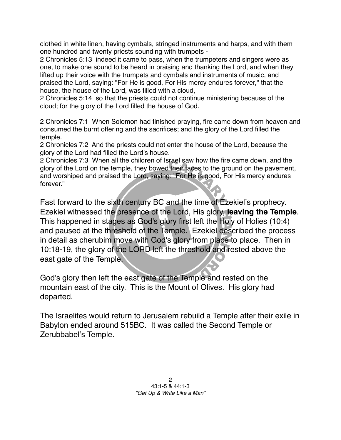clothed in white linen, having cymbals, stringed instruments and harps, and with them one hundred and twenty priests sounding with trumpets -

2 Chronicles 5:13 indeed it came to pass, when the trumpeters and singers were as one, to make one sound to be heard in praising and thanking the Lord, and when they lifted up their voice with the trumpets and cymbals and instruments of music, and praised the Lord, saying: "For He is good, For His mercy endures forever," that the house, the house of the Lord, was filled with a cloud,

2 Chronicles 5:14 so that the priests could not continue ministering because of the cloud; for the glory of the Lord filled the house of God.

2 Chronicles 7:1 When Solomon had finished praying, fire came down from heaven and consumed the burnt offering and the sacrifices; and the glory of the Lord filled the temple.

2 Chronicles 7:2 And the priests could not enter the house of the Lord, because the glory of the Lord had filled the Lord's house.

2 Chronicles 7:3 When all the children of Israel saw how the fire came down, and the glory of the Lord on the temple, they bowed their faces to the ground on the pavement, and worshiped and praised the Lord, saying: "For He is good, For His mercy endures forever."

Fast forward to the sixth century BC and the time of Ezekiel's prophecy. Ezekiel witnessed the presence of the Lord, His glory, **leaving the Temple**. This happened in stages as God's glory first left the Holy of Holies (10:4) and paused at the threshold of the Temple. Ezekiel described the process in detail as cherubim move with God's glory from place to place. Then in 10:18-19, the glory of the LORD left the threshold and rested above the east gate of the Temple.

God's glory then left the east gate of the Temple and rested on the mountain east of the city. This is the Mount of Olives. His glory had departed.

The Israelites would return to Jerusalem rebuild a Temple after their exile in Babylon ended around 515BC. It was called the Second Temple or Zerubbabel's Temple.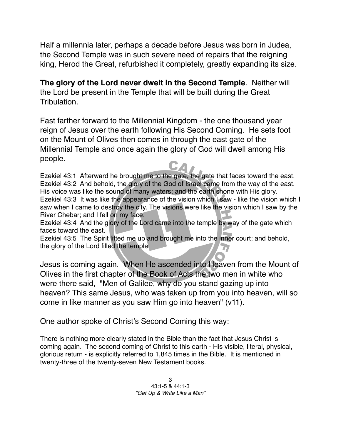Half a millennia later, perhaps a decade before Jesus was born in Judea, the Second Temple was in such severe need of repairs that the reigning king, Herod the Great, refurbished it completely, greatly expanding its size.

**The glory of the Lord never dwelt in the Second Temple**. Neither will the Lord be present in the Temple that will be built during the Great Tribulation.

Fast farther forward to the Millennial Kingdom - the one thousand year reign of Jesus over the earth following His Second Coming. He sets foot on the Mount of Olives then comes in through the east gate of the Millennial Temple and once again the glory of God will dwell among His people.

Ezekiel 43:1 Afterward he brought me to the gate, the gate that faces toward the east. Ezekiel 43:2 And behold, the glory of the God of Israel came from the way of the east. His voice was like the sound of many waters; and the earth shone with His glory. Ezekiel 43:3 It was like the appearance of the vision which I saw - like the vision which I saw when I came to destroy the city. The visions were like the vision which I saw by the River Chebar; and I fell on my face.

Ezekiel 43:4 And the glory of the Lord came into the temple by way of the gate which faces toward the east.

Ezekiel 43:5 The Spirit lifted me up and brought me into the inner court; and behold, the glory of the Lord filled the temple.

Jesus is coming again. When He ascended into Heaven from the Mount of Olives in the first chapter of the Book of Acts the two men in white who were there said, "Men of Galilee, why do you stand gazing up into heaven? This same Jesus, who was taken up from you into heaven, will so come in like manner as you saw Him go into heaven" (v11).

One author spoke of Christ's Second Coming this way:

There is nothing more clearly stated in the Bible than the fact that Jesus Christ is coming again. The second coming of Christ to this earth - His visible, literal, physical, glorious return - is explicitly referred to 1,845 times in the Bible. It is mentioned in twenty-three of the twenty-seven New Testament books.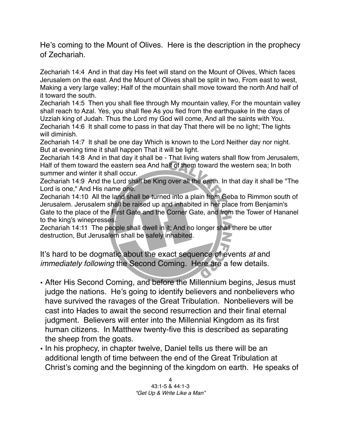He's coming to the Mount of Olives. Here is the description in the prophecy of Zechariah.

Zechariah 14:4 And in that day His feet will stand on the Mount of Olives, Which faces Jerusalem on the east. And the Mount of Olives shall be split in two, From east to west, Making a very large valley; Half of the mountain shall move toward the north And half of it toward the south.

Zechariah 14:5 Then you shall flee through My mountain valley, For the mountain valley shall reach to Azal. Yes, you shall flee As you fled from the earthquake In the days of Uzziah king of Judah. Thus the Lord my God will come, And all the saints with You. Zechariah 14:6 It shall come to pass in that day That there will be no light; The lights will diminish.

Zechariah 14:7 It shall be one day Which is known to the Lord Neither day nor night. But at evening time it shall happen That it will be light.

Zechariah 14:8 And in that day it shall be - That living waters shall flow from Jerusalem, Half of them toward the eastern sea And half of them toward the western sea; In both summer and winter it shall occur.

Zechariah 14:9 And the Lord shall be King over all the earth. In that day it shall be "The Lord is one," And His name one.

Zechariah 14:10 All the land shall be turned into a plain from Geba to Rimmon south of Jerusalem. Jerusalem shall be raised up and inhabited in her place from Benjamin's Gate to the place of the First Gate and the Corner Gate, and from the Tower of Hananel to the king's winepresses.

Zechariah 14:11 The people shall dwell in it; And no longer shall there be utter destruction, But Jerusalem shall be safely inhabited.

It's hard to be dogmatic about the exact sequence of events *at* and *immediately following* the Second Coming. Here are a few details.

- After His Second Coming, and before the Millennium begins, Jesus must judge the nations. He's going to identify believers and nonbelievers who have survived the ravages of the Great Tribulation. Nonbelievers will be cast into Hades to await the second resurrection and their final eternal judgment. Believers will enter into the Millennial Kingdom as its first human citizens. In Matthew twenty-five this is described as separating the sheep from the goats.
- In his prophecy, in chapter twelve, Daniel tells us there will be an additional length of time between the end of the Great Tribulation at Christ's coming and the beginning of the kingdom on earth. He speaks of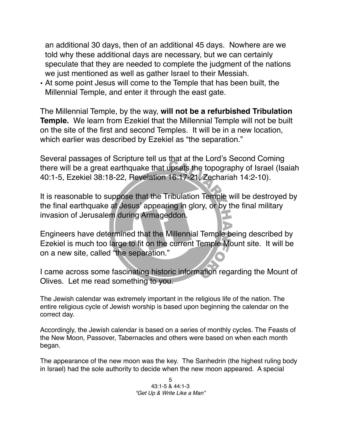an additional 30 days, then of an additional 45 days. Nowhere are we told why these additional days are necessary, but we can certainly speculate that they are needed to complete the judgment of the nations we just mentioned as well as gather Israel to their Messiah.

• At some point Jesus will come to the Temple that has been built, the Millennial Temple, and enter it through the east gate.

The Millennial Temple, by the way, **will not be a refurbished Tribulation Temple.** We learn from Ezekiel that the Millennial Temple will not be built on the site of the first and second Temples. It will be in a new location, which earlier was described by Ezekiel as "the separation."

Several passages of Scripture tell us that at the Lord's Second Coming there will be a great earthquake that upsets the topography of Israel (Isaiah 40:1-5, Ezekiel 38:18-22, Revelation 16:17-21, Zechariah 14:2-10).

It is reasonable to suppose that the Tribulation Temple will be destroyed by the final earthquake at Jesus' appearing in glory, or by the final military invasion of Jerusalem during Armageddon.

Engineers have determined that the Millennial Temple being described by Ezekiel is much too large to fit on the current Temple Mount site. It will be on a new site, called "the separation."

I came across some fascinating historic information regarding the Mount of Olives. Let me read something to you.

The Jewish calendar was extremely important in the religious life of the nation. The entire religious cycle of Jewish worship is based upon beginning the calendar on the correct day.

Accordingly, the Jewish calendar is based on a series of monthly cycles. The Feasts of the New Moon, Passover, Tabernacles and others were based on when each month began.

The appearance of the new moon was the key. The Sanhedrin (the highest ruling body in Israel) had the sole authority to decide when the new moon appeared. A special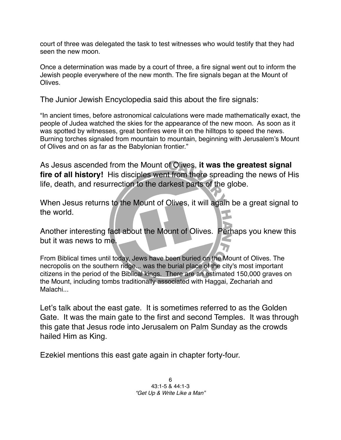court of three was delegated the task to test witnesses who would testify that they had seen the new moon

Once a determination was made by a court of three, a fire signal went out to inform the Jewish people everywhere of the new month. The fire signals began at the Mount of Olives.

The Junior Jewish Encyclopedia said this about the fire signals:

"In ancient times, before astronomical calculations were made mathematically exact, the people of Judea watched the skies for the appearance of the new moon. As soon as it was spotted by witnesses, great bonfires were lit on the hilltops to speed the news. Burning torches signaled from mountain to mountain, beginning with Jerusalem's Mount of Olives and on as far as the Babylonian frontier."

As Jesus ascended from the Mount of Olives, **it was the greatest signal fire of all history!** His disciples went from there spreading the news of His life, death, and resurrection to the darkest parts of the globe.

When Jesus returns to the Mount of Olives, it will again be a great signal to the world.

Another interesting fact about the Mount of Olives. Perhaps you knew this but it was news to me.

From Biblical times until today, Jews have been buried on the Mount of Olives. The necropolis on the southern ridge... was the burial place of the city's most important citizens in the period of the Biblical kings. There are an estimated 150,000 graves on the Mount, including tombs traditionally associated with Haggai, Zechariah and Malachi...

Let's talk about the east gate. It is sometimes referred to as the Golden Gate. It was the main gate to the first and second Temples. It was through this gate that Jesus rode into Jerusalem on Palm Sunday as the crowds hailed Him as King.

Ezekiel mentions this east gate again in chapter forty-four.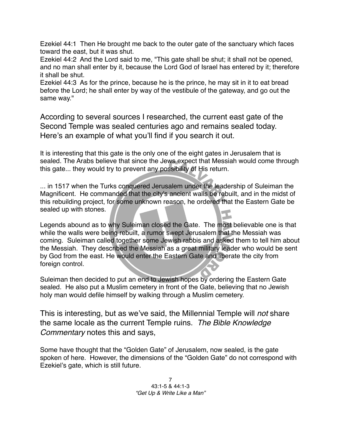Ezekiel 44:1 Then He brought me back to the outer gate of the sanctuary which faces toward the east, but it was shut.

Ezekiel 44:2 And the Lord said to me, "This gate shall be shut; it shall not be opened, and no man shall enter by it, because the Lord God of Israel has entered by it; therefore it shall be shut.

Ezekiel 44:3 As for the prince, because he is the prince, he may sit in it to eat bread before the Lord; he shall enter by way of the vestibule of the gateway, and go out the same way."

According to several sources I researched, the current east gate of the Second Temple was sealed centuries ago and remains sealed today. Here's an example of what you'll find if you search it out.

It is interesting that this gate is the only one of the eight gates in Jerusalem that is sealed. The Arabs believe that since the Jews expect that Messiah would come through this gate... they would try to prevent any possibility of His return.

... in 1517 when the Turks conquered Jerusalem under the leadership of Suleiman the Magnificent. He commanded that the city's ancient walls be rebuilt, and in the midst of this rebuilding project, for some unknown reason, he ordered that the Eastern Gate be sealed up with stones.

Legends abound as to why Suleiman closed the Gate. The most believable one is that while the walls were being rebuilt, a rumor swept Jerusalem that the Messiah was coming. Suleiman called together some Jewish rabbis and asked them to tell him about the Messiah. They described the Messiah as a great military leader who would be sent by God from the east. He would enter the Eastern Gate and liberate the city from foreign control.

Suleiman then decided to put an end to Jewish hopes by ordering the Eastern Gate sealed. He also put a Muslim cemetery in front of the Gate, believing that no Jewish holy man would defile himself by walking through a Muslim cemetery.

This is interesting, but as we've said, the Millennial Temple will *not* share the same locale as the current Temple ruins. *The Bible Knowledge Commentary* notes this and says,

Some have thought that the "Golden Gate" of Jerusalem, now sealed, is the gate spoken of here. However, the dimensions of the "Golden Gate" do not correspond with Ezekiel's gate, which is still future.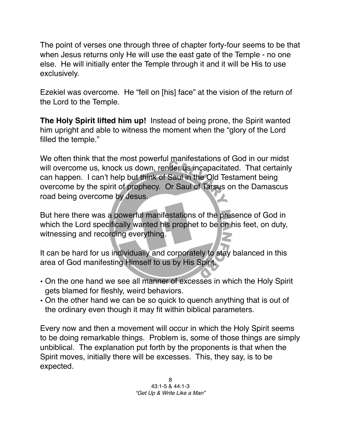The point of verses one through three of chapter forty-four seems to be that when Jesus returns only He will use the east gate of the Temple - no one else. He will initially enter the Temple through it and it will be His to use exclusively.

Ezekiel was overcome. He "fell on [his] face" at the vision of the return of the Lord to the Temple.

**The Holy Spirit lifted him up!** Instead of being prone, the Spirit wanted him upright and able to witness the moment when the "glory of the Lord filled the temple."

We often think that the most powerful manifestations of God in our midst will overcome us, knock us down, render us incapacitated. That certainly can happen. I can't help but think of Saul in the Old Testament being overcome by the spirit of prophecy. Or Saul of Tarsus on the Damascus road being overcome by Jesus.

But here there was a powerful manifestations of the presence of God in which the Lord specifically wanted his prophet to be on his feet, on duty, witnessing and recording everything.

It can be hard for us individually and corporately to stay balanced in this area of God manifesting Himself to us by His Spirit.

- On the one hand we see all manner of excesses in which the Holy Spirit gets blamed for fleshly, weird behaviors.
- On the other hand we can be so quick to quench anything that is out of the ordinary even though it may fit within biblical parameters.

Every now and then a movement will occur in which the Holy Spirit seems to be doing remarkable things. Problem is, some of those things are simply unbiblical. The explanation put forth by the proponents is that when the Spirit moves, initially there will be excesses. This, they say, is to be expected.